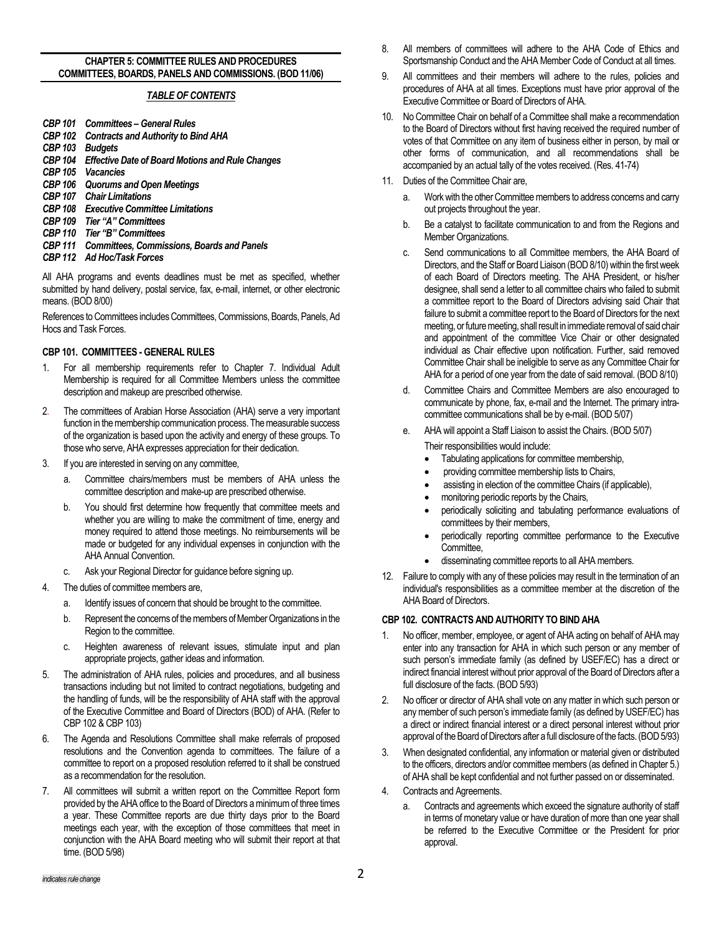#### **CHAPTER 5: COMMITTEE RULES AND PROCEDURES COMMITTEES, BOARDS, PANELS AND COMMISSIONS. (BOD 11/06)**

### *TABLE OF CONTENTS*

- *CBP 101 Committees – General Rules*
- **Contracts and Authority to Bind AHA**
- *CBP 103 Budgets*
- **Effective Date of Board Motions and Rule Changes**
- *CBP 105 Vacancies*
- *CBP 106 Quorums and Open Meetings*
- *CBP 107 Chair Limitations*
- *CBP 108 Executive Committee Limitations*
- *CBP 109 Tier "A" Committees*
- *CBP 110 Tier "B" Committees*
- *CBP 111 Committees, Commissions, Boards and Panels*
- *CBP 112 Ad Hoc/Task Forces*

All AHA programs and events deadlines must be met as specified, whether submitted by hand delivery, postal service, fax, e-mail, internet, or other electronic means. (BOD 8/00)

References to Committees includes Committees, Commissions, Boards, Panels, Ad Hocs and Task Forces.

#### **CBP 101. COMMITTEES - GENERAL RULES**

- 1. For all membership requirements refer to Chapter 7. Individual Adult Membership is required for all Committee Members unless the committee description and makeup are prescribed otherwise.
- 2. The committees of Arabian Horse Association (AHA) serve a very important function in the membership communication process. The measurable success of the organization is based upon the activity and energy of these groups. To those who serve, AHA expresses appreciation for their dedication.
- 3. If you are interested in serving on any committee,
	- a. Committee chairs/members must be members of AHA unless the committee description and make-up are prescribed otherwise.
	- b. You should first determine how frequently that committee meets and whether you are willing to make the commitment of time, energy and money required to attend those meetings. No reimbursements will be made or budgeted for any individual expenses in conjunction with the AHA Annual Convention.
	- c. Ask your Regional Director for guidance before signing up.
- 4. The duties of committee members are,
	- a. Identify issues of concern that should be brought to the committee.
	- b. Represent the concerns of the members of Member Organizations in the Region to the committee.
	- c. Heighten awareness of relevant issues, stimulate input and plan appropriate projects, gather ideas and information.
- 5. The administration of AHA rules, policies and procedures, and all business transactions including but not limited to contract negotiations, budgeting and the handling of funds, will be the responsibility of AHA staff with the approval of the Executive Committee and Board of Directors (BOD) of AHA. (Refer to CBP 102 & CBP 103)
- 6. The Agenda and Resolutions Committee shall make referrals of proposed resolutions and the Convention agenda to committees. The failure of a committee to report on a proposed resolution referred to it shall be construed as a recommendation for the resolution.
- 7. All committees will submit a written report on the Committee Report form provided by the AHA office to the Board of Directors a minimum of three times a year. These Committee reports are due thirty days prior to the Board meetings each year, with the exception of those committees that meet in conjunction with the AHA Board meeting who will submit their report at that time. (BOD 5/98)
- 8. All members of committees will adhere to the AHA Code of Ethics and Sportsmanship Conduct and the AHA Member Code of Conduct at all times.
- 9. All committees and their members will adhere to the rules, policies and procedures of AHA at all times. Exceptions must have prior approval of the Executive Committee or Board of Directors of AHA.
- 10. No Committee Chair on behalf of a Committee shall make a recommendation to the Board of Directors without first having received the required number of votes of that Committee on any item of business either in person, by mail or other forms of communication, and all recommendations shall be accompanied by an actual tally of the votes received. (Res. 41-74)
- 11. Duties of the Committee Chair are,
	- a. Work with the other Committee members to address concerns and carry out projects throughout the year.
	- b. Be a catalyst to facilitate communication to and from the Regions and Member Organizations.
	- c. Send communications to all Committee members, the AHA Board of Directors, and the Staff or Board Liaison (BOD 8/10) within the first week of each Board of Directors meeting. The AHA President, or his/her designee, shall send a letter to all committee chairs who failed to submit a committee report to the Board of Directors advising said Chair that failure to submit a committee report to the Board of Directors for the next meeting, or future meeting, shall result in immediate removal of said chair and appointment of the committee Vice Chair or other designated individual as Chair effective upon notification. Further, said removed Committee Chair shall be ineligible to serve as any Committee Chair for AHA for a period of one year from the date of said removal. (BOD 8/10)
	- d. Committee Chairs and Committee Members are also encouraged to communicate by phone, fax, e-mail and the Internet. The primary intracommittee communications shall be by e-mail. (BOD 5/07)
	- e. AHA will appoint a Staff Liaison to assist the Chairs. (BOD 5/07)
		- Their responsibilities would include:
			- Tabulating applications for committee membership,
		- providing committee membership lists to Chairs,
		- assisting in election of the committee Chairs (if applicable),
		- monitoring periodic reports by the Chairs,
		- periodically soliciting and tabulating performance evaluations of committees by their members,
		- periodically reporting committee performance to the Executive Committee,
		- disseminating committee reports to all AHA members.
- 12. Failure to comply with any of these policies may result in the termination of an individual's responsibilities as a committee member at the discretion of the AHA Board of Directors.

#### **CBP 102. CONTRACTS AND AUTHORITY TO BIND AHA**

- 1. No officer, member, employee, or agent of AHA acting on behalf of AHA may enter into any transaction for AHA in which such person or any member of such person's immediate family (as defined by USEF/EC) has a direct or indirect financial interest without prior approval of the Board of Directors after a full disclosure of the facts. (BOD 5/93)
- 2. No officer or director of AHA shall vote on any matter in which such person or any member of such person's immediate family (as defined by USEF/EC) has a direct or indirect financial interest or a direct personal interest without prior approval of the Board of Directors after a full disclosure of the facts.(BOD 5/93)
- 3. When designated confidential, any information or material given or distributed to the officers, directors and/or committee members (as defined in Chapter 5.) of AHA shall be kept confidential and not further passed on or disseminated.
- 4. Contracts and Agreements.
	- Contracts and agreements which exceed the signature authority of staff in terms of monetary value or have duration of more than one year shall be referred to the Executive Committee or the President for prior approval.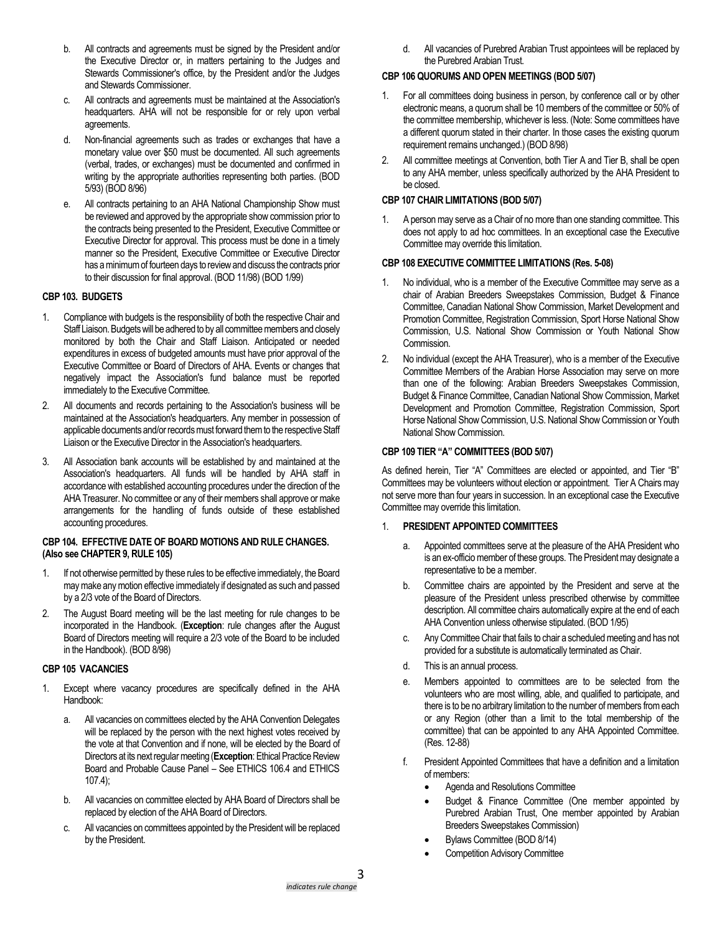- b. All contracts and agreements must be signed by the President and/or the Executive Director or, in matters pertaining to the Judges and Stewards Commissioner's office, by the President and/or the Judges and Stewards Commissioner.
- c. All contracts and agreements must be maintained at the Association's headquarters. AHA will not be responsible for or rely upon verbal agreements.
- d. Non-financial agreements such as trades or exchanges that have a monetary value over \$50 must be documented. All such agreements (verbal, trades, or exchanges) must be documented and confirmed in writing by the appropriate authorities representing both parties. (BOD 5/93) (BOD 8/96)
- e. All contracts pertaining to an AHA National Championship Show must be reviewed and approved by the appropriate show commission prior to the contracts being presented to the President, Executive Committee or Executive Director for approval. This process must be done in a timely manner so the President, Executive Committee or Executive Director has a minimum of fourteen days to review and discuss the contracts prior to their discussion for final approval. (BOD 11/98) (BOD 1/99)

### **CBP 103. BUDGETS**

- 1. Compliance with budgets is the responsibility of both the respective Chair and Staff Liaison. Budgets will be adhered to by all committee members and closely monitored by both the Chair and Staff Liaison. Anticipated or needed expenditures in excess of budgeted amounts must have prior approval of the Executive Committee or Board of Directors of AHA. Events or changes that negatively impact the Association's fund balance must be reported immediately to the Executive Committee.
- 2. All documents and records pertaining to the Association's business will be maintained at the Association's headquarters. Any member in possession of applicable documents and/or records must forward them to the respective Staff Liaison or the Executive Director in the Association's headquarters.
- 3. All Association bank accounts will be established by and maintained at the Association's headquarters. All funds will be handled by AHA staff in accordance with established accounting procedures under the direction of the AHA Treasurer. No committee or any of their members shall approve or make arrangements for the handling of funds outside of these established accounting procedures.

#### **CBP 104. EFFECTIVE DATE OF BOARD MOTIONS AND RULE CHANGES. (Also see CHAPTER 9, RULE 105)**

- 1. If not otherwise permitted by these rules to be effective immediately, the Board may make any motion effective immediately if designated as such and passed by a 2/3 vote of the Board of Directors.
- 2. The August Board meeting will be the last meeting for rule changes to be incorporated in the Handbook. (**Exception**: rule changes after the August Board of Directors meeting will require a 2/3 vote of the Board to be included in the Handbook). (BOD 8/98)

#### **CBP 105 VACANCIES**

- 1. Except where vacancy procedures are specifically defined in the AHA Handbook:
	- a. All vacancies on committees elected by the AHA Convention Delegates will be replaced by the person with the next highest votes received by the vote at that Convention and if none, will be elected by the Board of Directors at its next regular meeting (**Exception**: Ethical Practice Review Board and Probable Cause Panel – See ETHICS 106.4 and ETHICS 107.4);
	- b. All vacancies on committee elected by AHA Board of Directors shall be replaced by election of the AHA Board of Directors.
	- c. All vacancies on committees appointed by the President will be replaced by the President.

d. All vacancies of Purebred Arabian Trust appointees will be replaced by the Purebred Arabian Trust.

### **CBP 106 QUORUMS AND OPEN MEETINGS (BOD 5/07)**

- 1. For all committees doing business in person, by conference call or by other electronic means, a quorum shall be 10 members of the committee or 50% of the committee membership, whichever is less. (Note: Some committees have a different quorum stated in their charter. In those cases the existing quorum requirement remains unchanged.) (BOD 8/98)
- 2. All committee meetings at Convention, both Tier A and Tier B, shall be open to any AHA member, unless specifically authorized by the AHA President to be closed.

## **CBP 107 CHAIR LIMITATIONS (BOD 5/07)**

1. A person may serve as a Chair of no more than one standing committee. This does not apply to ad hoc committees. In an exceptional case the Executive Committee may override this limitation.

### **CBP 108 EXECUTIVE COMMITTEE LIMITATIONS (Res. 5-08)**

- 1. No individual, who is a member of the Executive Committee may serve as a chair of Arabian Breeders Sweepstakes Commission, Budget & Finance Committee, Canadian National Show Commission, Market Development and Promotion Committee, Registration Commission, Sport Horse National Show Commission, U.S. National Show Commission or Youth National Show Commission.
- 2. No individual (except the AHA Treasurer), who is a member of the Executive Committee Members of the Arabian Horse Association may serve on more than one of the following: Arabian Breeders Sweepstakes Commission, Budget & Finance Committee, Canadian National Show Commission, Market Development and Promotion Committee, Registration Commission, Sport Horse National Show Commission, U.S. National Show Commission or Youth National Show Commission.

### **CBP 109 TIER "A" COMMITTEES (BOD 5/07)**

As defined herein. Tier "A" Committees are elected or appointed, and Tier "B" Committees may be volunteers without election or appointment. Tier A Chairs may not serve more than four years in succession. In an exceptional case the Executive Committee may override this limitation.

### 1. **PRESIDENT APPOINTED COMMITTEES**

- a. Appointed committees serve at the pleasure of the AHA President who is an ex-officio member of these groups. The President may designate a representative to be a member.
- b. Committee chairs are appointed by the President and serve at the pleasure of the President unless prescribed otherwise by committee description. All committee chairs automatically expire at the end of each AHA Convention unless otherwise stipulated. (BOD 1/95)
- c. Any Committee Chair that fails to chair a scheduled meeting and has not provided for a substitute is automatically terminated as Chair.
- d. This is an annual process.
- e. Members appointed to committees are to be selected from the volunteers who are most willing, able, and qualified to participate, and there is to be no arbitrary limitation to the number of members from each or any Region (other than a limit to the total membership of the committee) that can be appointed to any AHA Appointed Committee. (Res. 12-88)
- f. President Appointed Committees that have a definition and a limitation of members:
	- Agenda and Resolutions Committee
	- Budget & Finance Committee (One member appointed by Purebred Arabian Trust, One member appointed by Arabian Breeders Sweepstakes Commission)
	- Bylaws Committee (BOD 8/14)
	- Competition Advisory Committee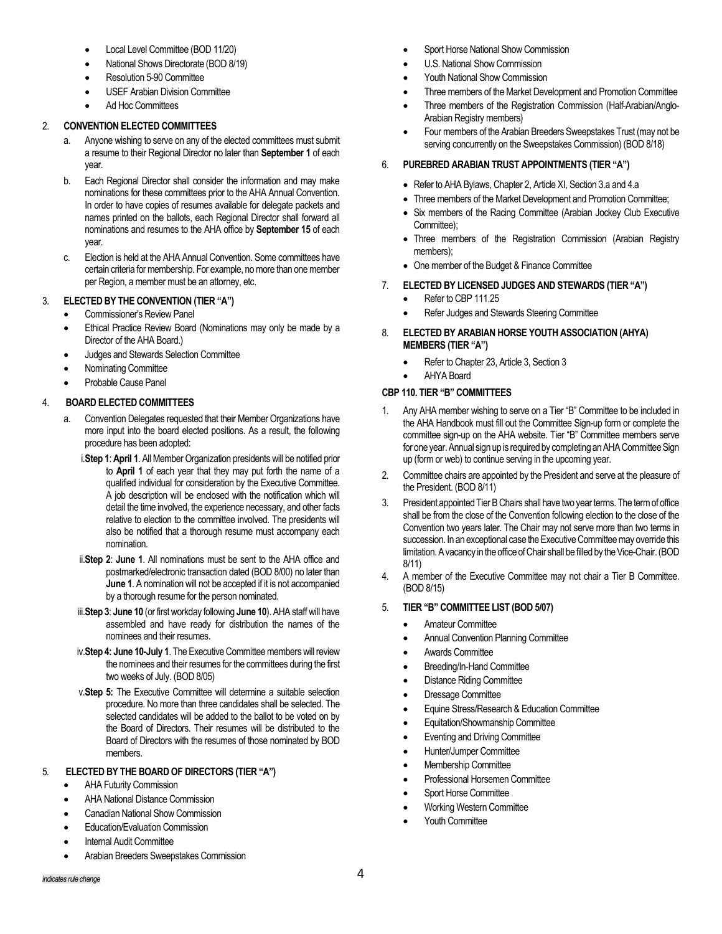- Local Level Committee (BOD 11/20)
- National Shows Directorate (BOD 8/19)
- Resolution 5-90 Committee
- USEF Arabian Division Committee
- Ad Hoc Committees

## 2. **CONVENTION ELECTED COMMITTEES**

- a. Anyone wishing to serve on any of the elected committees must submit a resume to their Regional Director no later than **September 1** of each year.
- b. Each Regional Director shall consider the information and may make nominations for these committees prior to the AHA Annual Convention. In order to have copies of resumes available for delegate packets and names printed on the ballots, each Regional Director shall forward all nominations and resumes to the AHA office by **September 15** of each year.
- c. Election is held at the AHA Annual Convention. Some committees have certain criteria for membership. For example, no more than one member per Region, a member must be an attorney, etc.

## 3. **ELECTED BY THE CONVENTION (TIER "A")**

- Commissioner's Review Panel
- Ethical Practice Review Board (Nominations may only be made by a Director of the AHA Board.)
- Judges and Stewards Selection Committee
- Nominating Committee
- Probable Cause Panel

## 4. **BOARD ELECTED COMMITTEES**

- a. Convention Delegates requested that their Member Organizations have more input into the board elected positions. As a result, the following procedure has been adopted:
	- i.**Step 1**: **April 1**. All Member Organization presidents will be notified prior to **April 1** of each year that they may put forth the name of a qualified individual for consideration by the Executive Committee. A job description will be enclosed with the notification which will detail the time involved, the experience necessary, and other facts relative to election to the committee involved. The presidents will also be notified that a thorough resume must accompany each nomination.
	- ii.**Step 2**: **June 1**. All nominations must be sent to the AHA office and postmarked/electronic transaction dated (BOD 8/00) no later than **June 1**. A nomination will not be accepted if it is not accompanied by a thorough resume for the person nominated.
	- iii.**Step 3**: **June 10** (or first workday following **June 10**). AHA staff will have assembled and have ready for distribution the names of the nominees and their resumes.
	- iv.**Step 4: June 10-July 1**. The Executive Committee members will review the nominees and their resumes for the committees during the first two weeks of July. (BOD 8/05)
	- v.**Step 5:** The Executive Committee will determine a suitable selection procedure. No more than three candidates shall be selected. The selected candidates will be added to the ballot to be voted on by the Board of Directors. Their resumes will be distributed to the Board of Directors with the resumes of those nominated by BOD members.

# 5*.* **ELECTED BY THE BOARD OF DIRECTORS (TIER "A")**

- AHA Futurity Commission
- AHA National Distance Commission
- Canadian National Show Commission
- Education/Evaluation Commission
- Internal Audit Committee
- Arabian Breeders Sweepstakes Commission
- Sport Horse National Show Commission
- U.S. National Show Commission
- Youth National Show Commission
- Three members of the Market Development and Promotion Committee
- Three members of the Registration Commission (Half-Arabian/Anglo-Arabian Registry members)
- Four members of the Arabian Breeders Sweepstakes Trust (may not be serving concurrently on the Sweepstakes Commission) (BOD 8/18)

## 6. **PUREBRED ARABIAN TRUST APPOINTMENTS (TIER "A")**

- Refer to AHA Bylaws, Chapter 2, Article XI, Section 3.a and 4.a
- Three members of the Market Development and Promotion Committee;
- Six members of the Racing Committee (Arabian Jockey Club Executive Committee);
- Three members of the Registration Commission (Arabian Registry members);
- One member of the Budget & Finance Committee
- 7. **ELECTED BY LICENSED JUDGES AND STEWARDS (TIER "A")**
	- Refer to CBP 111.25
	- Refer Judges and Stewards Steering Committee
- 8. **ELECTED BY ARABIAN HORSE YOUTH ASSOCIATION (AHYA) MEMBERS (TIER "A")**
	- Refer to Chapter 23, Article 3, Section 3
	- AHYA Board

## **CBP 110. TIER "B" COMMITTEES**

- 1. Any AHA member wishing to serve on a Tier "B" Committee to be included in the AHA Handbook must fill out the Committee Sign-up form or complete the committee sign-up on the AHA website. Tier "B" Committee members serve for one year. Annual sign up is required by completing an AHA Committee Sign up (form or web) to continue serving in the upcoming year.
- 2. Committee chairs are appointed by the President and serve at the pleasure of the President. (BOD 8/11)
- 3. President appointed Tier B Chairs shall have two year terms. The term of office shall be from the close of the Convention following election to the close of the Convention two years later. The Chair may not serve more than two terms in succession. In an exceptional case the Executive Committee may override this limitation. A vacancy in the office of Chair shall be filled by the Vice-Chair.(BOD 8/11)
- 4. A member of the Executive Committee may not chair a Tier B Committee. (BOD 8/15)

## 5. **TIER "B" COMMITTEE LIST (BOD 5/07)**

- Amateur Committee
- Annual Convention Planning Committee
- Awards Committee
- Breeding/In-Hand Committee
- Distance Riding Committee
- Dressage Committee
- Equine Stress/Research & Education Committee
- Equitation/Showmanship Committee
- Eventing and Driving Committee
- Hunter/Jumper Committee
- Membership Committee
- Professional Horsemen Committee
- Sport Horse Committee
- Working Western Committee
- Youth Committee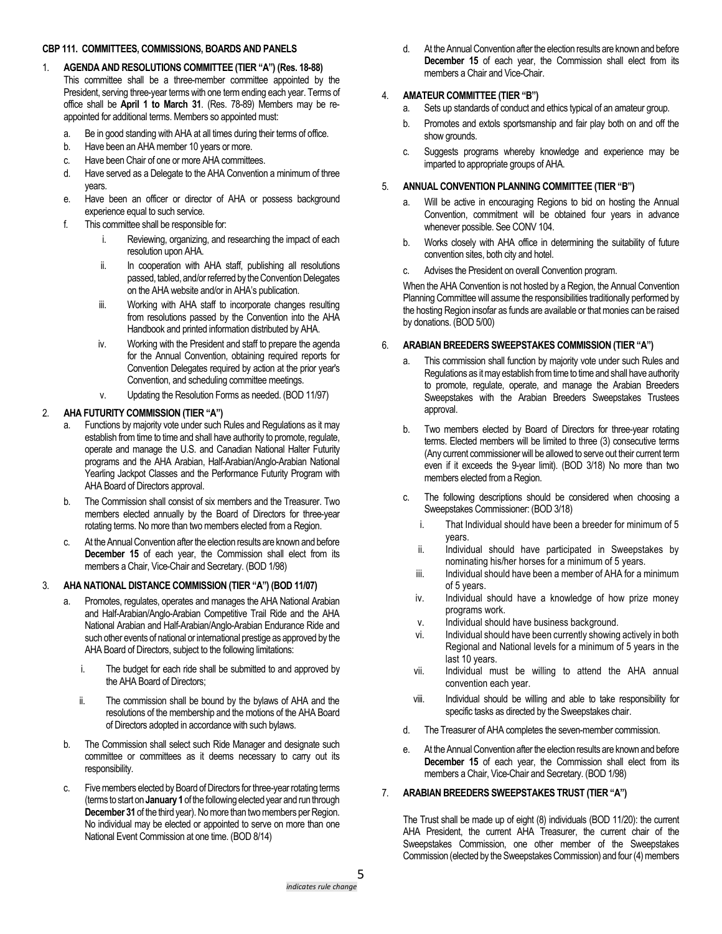### **CBP 111. COMMITTEES, COMMISSIONS, BOARDS AND PANELS**

- 1. **AGENDA AND RESOLUTIONS COMMITTEE (TIER "A") (Res. 18-88)** This committee shall be a three-member committee appointed by the President, serving three-year terms with one term ending each year. Terms of office shall be **April 1 to March 31**. (Res. 78-89) Members may be reappointed for additional terms. Members so appointed must:
	- a. Be in good standing with AHA at all times during their terms of office.
	- b. Have been an AHA member 10 years or more.
	- c. Have been Chair of one or more AHA committees.
	- d. Have served as a Delegate to the AHA Convention a minimum of three years.
	- e. Have been an officer or director of AHA or possess background experience equal to such service.
	- f. This committee shall be responsible for:
		- i. Reviewing, organizing, and researching the impact of each resolution upon AHA.
		- ii. In cooperation with AHA staff, publishing all resolutions passed, tabled, and/or referred by the Convention Delegates on the AHA website and/or in AHA's publication.
		- iii. Working with AHA staff to incorporate changes resulting from resolutions passed by the Convention into the AHA Handbook and printed information distributed by AHA.
		- iv. Working with the President and staff to prepare the agenda for the Annual Convention, obtaining required reports for Convention Delegates required by action at the prior year's Convention, and scheduling committee meetings.
		- Updating the Resolution Forms as needed. (BOD 11/97)

# 2. **AHA FUTURITY COMMISSION (TIER "A")**

- a. Functions by majority vote under such Rules and Regulations as it may establish from time to time and shall have authority to promote, regulate, operate and manage the U.S. and Canadian National Halter Futurity programs and the AHA Arabian, Half-Arabian/Anglo-Arabian National Yearling Jackpot Classes and the Performance Futurity Program with AHA Board of Directors approval.
- b. The Commission shall consist of six members and the Treasurer. Two members elected annually by the Board of Directors for three-year rotating terms. No more than two members elected from a Region.
- c. At the Annual Convention after the election results are known and before **December 15** of each year, the Commission shall elect from its members a Chair, Vice-Chair and Secretary. (BOD 1/98)

# 3. **AHA NATIONAL DISTANCE COMMISSION (TIER "A") (BOD 11/07)**

- a. Promotes, regulates, operates and manages the AHA National Arabian and Half-Arabian/Anglo-Arabian Competitive Trail Ride and the AHA National Arabian and Half-Arabian/Anglo-Arabian Endurance Ride and such other events of national or international prestige as approved by the AHA Board of Directors, subject to the following limitations:
	- i. The budget for each ride shall be submitted to and approved by the AHA Board of Directors;
	- ii. The commission shall be bound by the bylaws of AHA and the resolutions of the membership and the motions of the AHA Board of Directors adopted in accordance with such bylaws.
- b. The Commission shall select such Ride Manager and designate such committee or committees as it deems necessary to carry out its responsibility.
- c. Five members elected by Board of Directors for three-year rotating terms (terms to start on **January 1**of the following elected year and run through **December 31** of the third year). No more than two members per Region. No individual may be elected or appointed to serve on more than one National Event Commission at one time. (BOD 8/14)

d. At the Annual Convention after the election results are known and before **December 15** of each year, the Commission shall elect from its members a Chair and Vice-Chair.

# 4. **AMATEUR COMMITTEE (TIER "B")**

- a. Sets up standards of conduct and ethics typical of an amateur group.
- b. Promotes and extols sportsmanship and fair play both on and off the show grounds.
- c. Suggests programs whereby knowledge and experience may be imparted to appropriate groups of AHA.

# 5. **ANNUAL CONVENTION PLANNING COMMITTEE (TIER "B")**

- a. Will be active in encouraging Regions to bid on hosting the Annual Convention, commitment will be obtained four years in advance whenever possible. See CONV 104.
- b. Works closely with AHA office in determining the suitability of future convention sites, both city and hotel.
- c. Advises the President on overall Convention program.

When the AHA Convention is not hosted by a Region, the Annual Convention Planning Committee will assume the responsibilities traditionally performed by the hosting Region insofar as funds are available or that monies can be raised by donations. (BOD 5/00)

# 6. **ARABIAN BREEDERS SWEEPSTAKES COMMISSION (TIER "A")**

- This commission shall function by majority vote under such Rules and Regulations as it may establish from time to time and shall have authority to promote, regulate, operate, and manage the Arabian Breeders Sweepstakes with the Arabian Breeders Sweepstakes Trustees approval.
- b. Two members elected by Board of Directors for three-year rotating terms. Elected members will be limited to three (3) consecutive terms (Any current commissioner will be allowed to serve out their current term even if it exceeds the 9-year limit). (BOD 3/18) No more than two members elected from a Region.
- c. The following descriptions should be considered when choosing a Sweepstakes Commissioner: (BOD 3/18)
	- i. That Individual should have been a breeder for minimum of 5 years.
	- ii. Individual should have participated in Sweepstakes by nominating his/her horses for a minimum of 5 years.
	- iii. Individual should have been a member of AHA for a minimum of 5 years.
	- iv. Individual should have a knowledge of how prize money programs work.
	- v. Individual should have business background.
	- vi. Individual should have been currently showing actively in both Regional and National levels for a minimum of 5 years in the last 10 years.
	- vii. Individual must be willing to attend the AHA annual convention each year.
	- viii. Individual should be willing and able to take responsibility for specific tasks as directed by the Sweepstakes chair.
- d. The Treasurer of AHA completes the seven-member commission.
- e. At the Annual Convention after the election results are known and before **December 15** of each year, the Commission shall elect from its members a Chair, Vice-Chair and Secretary. (BOD 1/98)

# 7. **ARABIAN BREEDERS SWEEPSTAKES TRUST (TIER "A")**

The Trust shall be made up of eight (8) individuals (BOD 11/20): the current AHA President, the current AHA Treasurer, the current chair of the Sweepstakes Commission, one other member of the Sweepstakes Commission (elected by the Sweepstakes Commission) and four (4) members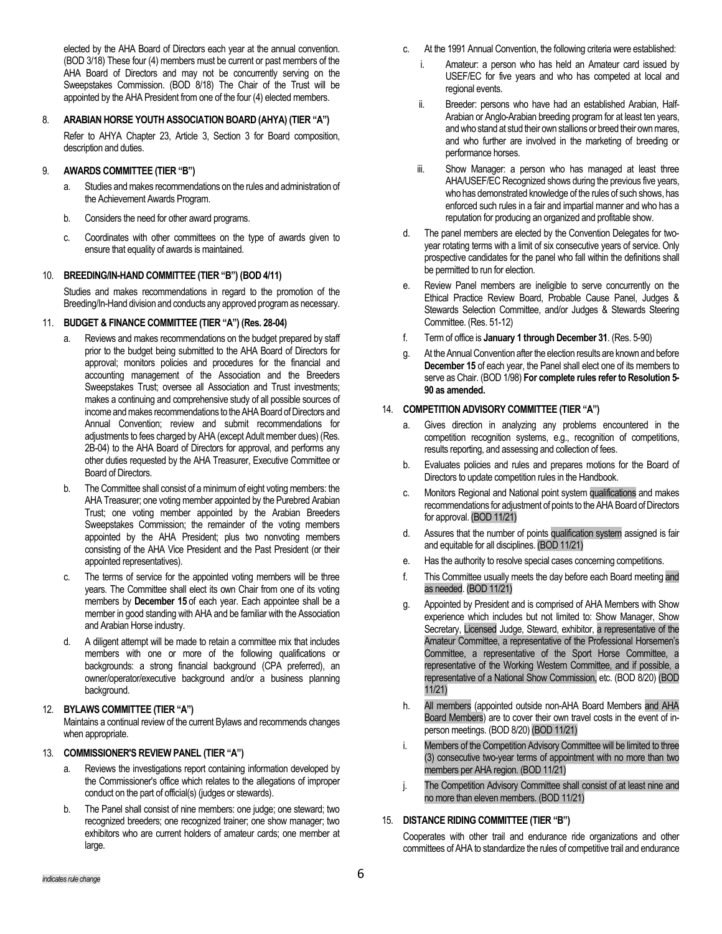elected by the AHA Board of Directors each year at the annual convention. (BOD 3/18) These four (4) members must be current or past members of the AHA Board of Directors and may not be concurrently serving on the Sweepstakes Commission. (BOD 8/18) The Chair of the Trust will be appointed by the AHA President from one of the four (4) elected members.

### 8. **ARABIAN HORSE YOUTH ASSOCIATION BOARD (AHYA) (TIER "A")**

Refer to AHYA Chapter 23, Article 3, Section 3 for Board composition, description and duties.

### 9. **AWARDS COMMITTEE (TIER "B")**

- a. Studies and makes recommendations on the rules and administration of the Achievement Awards Program.
- b. Considers the need for other award programs.
- c. Coordinates with other committees on the type of awards given to ensure that equality of awards is maintained.

### 10. **BREEDING/IN-HAND COMMITTEE (TIER "B") (BOD 4/11)**

Studies and makes recommendations in regard to the promotion of the Breeding/In-Hand division and conducts any approved program as necessary.

### 11. **BUDGET & FINANCE COMMITTEE (TIER "A") (Res. 28-04)**

- Reviews and makes recommendations on the budget prepared by staff prior to the budget being submitted to the AHA Board of Directors for approval; monitors policies and procedures for the financial and accounting management of the Association and the Breeders Sweepstakes Trust; oversee all Association and Trust investments; makes a continuing and comprehensive study of all possible sources of income and makes recommendations to the AHA Board of Directors and Annual Convention; review and submit recommendations for adjustments to fees charged by AHA (except Adult member dues) (Res. 2B-04) to the AHA Board of Directors for approval, and performs any other duties requested by the AHA Treasurer, Executive Committee or Board of Directors.
- b. The Committee shall consist of a minimum of eight voting members: the AHA Treasurer; one voting member appointed by the Purebred Arabian Trust; one voting member appointed by the Arabian Breeders Sweepstakes Commission; the remainder of the voting members appointed by the AHA President; plus two nonvoting members consisting of the AHA Vice President and the Past President (or their appointed representatives).
- c. The terms of service for the appointed voting members will be three years. The Committee shall elect its own Chair from one of its voting members by **December 15** of each year. Each appointee shall be a member in good standing with AHA and be familiar with the Association and Arabian Horse industry.
- d. A diligent attempt will be made to retain a committee mix that includes members with one or more of the following qualifications or backgrounds: a strong financial background (CPA preferred), an owner/operator/executive background and/or a business planning background.

# 12. **BYLAWS COMMITTEE (TIER "A")**

Maintains a continual review of the current Bylaws and recommends changes when appropriate.

### 13. **COMMISSIONER'S REVIEW PANEL (TIER "A")**

- a. Reviews the investigations report containing information developed by the Commissioner's office which relates to the allegations of improper conduct on the part of official(s) (judges or stewards).
- b. The Panel shall consist of nine members: one judge; one steward; two recognized breeders; one recognized trainer; one show manager; two exhibitors who are current holders of amateur cards; one member at large.
- c. At the 1991 Annual Convention, the following criteria were established:
	- i. Amateur: a person who has held an Amateur card issued by USEF/EC for five years and who has competed at local and regional events.
	- ii. Breeder: persons who have had an established Arabian, Half-Arabian or Anglo-Arabian breeding program for at least ten years, and who stand at stud their own stallions or breed their own mares, and who further are involved in the marketing of breeding or performance horses.
	- iii. Show Manager: a person who has managed at least three AHA/USEF/EC Recognized shows during the previous five years, who has demonstrated knowledge of the rules of such shows, has enforced such rules in a fair and impartial manner and who has a reputation for producing an organized and profitable show.
- d. The panel members are elected by the Convention Delegates for twoyear rotating terms with a limit of six consecutive years of service. Only prospective candidates for the panel who fall within the definitions shall be permitted to run for election.
- e. Review Panel members are ineligible to serve concurrently on the Ethical Practice Review Board, Probable Cause Panel, Judges & Stewards Selection Committee, and/or Judges & Stewards Steering Committee. (Res. 51-12)
- f. Term of office is **January 1 through December 31**. (Res. 5-90)
- At the Annual Convention after the election results are known and before **December 15** of each year, the Panel shall elect one of its members to serve as Chair. (BOD 1/98) **For complete rules refer to Resolution 5- 90 as amended.**

# 14. **COMPETITION ADVISORY COMMITTEE (TIER "A")**

- a. Gives direction in analyzing any problems encountered in the competition recognition systems, e.g., recognition of competitions, results reporting, and assessing and collection of fees.
- b. Evaluates policies and rules and prepares motions for the Board of Directors to update competition rules in the Handbook.
- c. Monitors Regional and National point system qualifications and makes recommendations for adjustment of points to the AHA Board of Directors for approval. (BOD 11/21)
- d. Assures that the number of points qualification system assigned is fair and equitable for all disciplines. (BOD 11/21)
- e. Has the authority to resolve special cases concerning competitions.
- f. This Committee usually meets the day before each Board meeting and as needed. (BOD 11/21)
- g. Appointed by President and is comprised of AHA Members with Show experience which includes but not limited to: Show Manager, Show Secretary, Licensed Judge, Steward, exhibitor, a representative of the Amateur Committee, a representative of the Professional Horsemen's Committee, a representative of the Sport Horse Committee, a representative of the Working Western Committee, and if possible, a representative of a National Show Commission, etc. (BOD 8/20) (BOD 11/21)
- h. All members (appointed outside non-AHA Board Members and AHA Board Members) are to cover their own travel costs in the event of inperson meetings. (BOD 8/20) (BOD 11/21)
- i. Members of the Competition Advisory Committee will be limited to three (3) consecutive two-year terms of appointment with no more than two members per AHA region. (BOD 11/21)
- j. The Competition Advisory Committee shall consist of at least nine and no more than eleven members. (BOD 11/21)

# 15. **DISTANCE RIDING COMMITTEE (TIER "B")**

Cooperates with other trail and endurance ride organizations and other committees of AHA to standardize the rules of competitive trail and endurance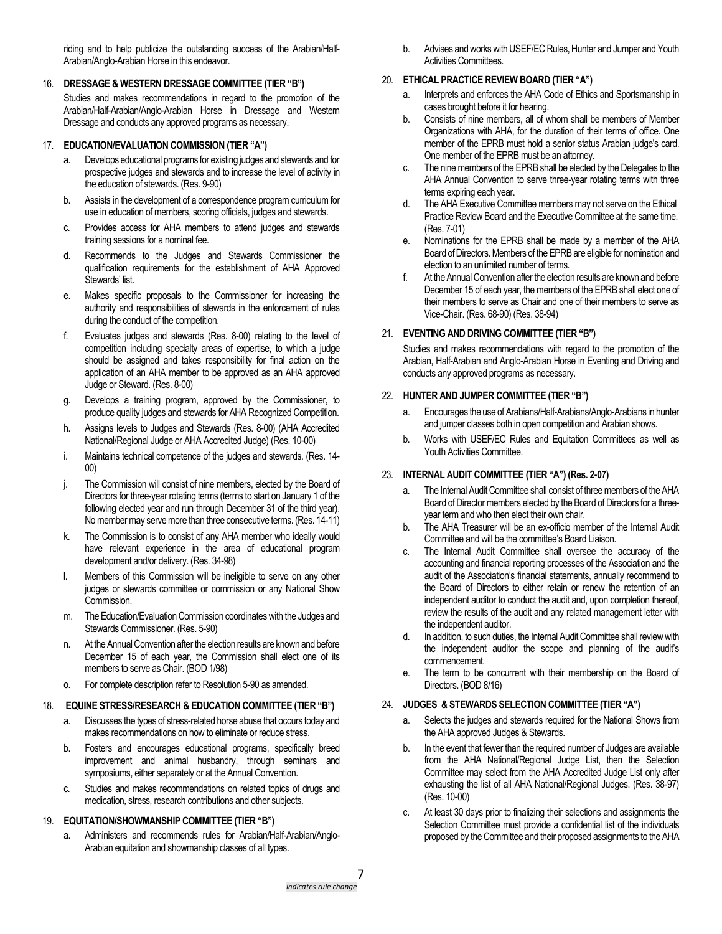riding and to help publicize the outstanding success of the Arabian/Half-Arabian/Anglo-Arabian Horse in this endeavor.

### 16. **DRESSAGE & WESTERN DRESSAGE COMMITTEE (TIER "B")**

Studies and makes recommendations in regard to the promotion of the Arabian/Half-Arabian/Anglo-Arabian Horse in Dressage and Western Dressage and conducts any approved programs as necessary.

## 17. **EDUCATION/EVALUATION COMMISSION (TIER "A")**

- a. Develops educational programs for existing judges and stewards and for prospective judges and stewards and to increase the level of activity in the education of stewards. (Res. 9-90)
- b. Assists in the development of a correspondence program curriculum for use in education of members, scoring officials, judges and stewards.
- c. Provides access for AHA members to attend judges and stewards training sessions for a nominal fee.
- d. Recommends to the Judges and Stewards Commissioner the qualification requirements for the establishment of AHA Approved Stewards' list.
- e. Makes specific proposals to the Commissioner for increasing the authority and responsibilities of stewards in the enforcement of rules during the conduct of the competition.
- f. Evaluates judges and stewards (Res. 8-00) relating to the level of competition including specialty areas of expertise, to which a judge should be assigned and takes responsibility for final action on the application of an AHA member to be approved as an AHA approved Judge or Steward. (Res. 8-00)
- g. Develops a training program, approved by the Commissioner, to produce quality judges and stewards for AHA Recognized Competition.
- h. Assigns levels to Judges and Stewards (Res. 8-00) (AHA Accredited National/Regional Judge or AHA Accredited Judge) (Res. 10-00)
- i. Maintains technical competence of the judges and stewards. (Res. 14- 00)
- j. The Commission will consist of nine members, elected by the Board of Directors for three-year rotating terms (terms to start on January 1 of the following elected year and run through December 31 of the third year). No member may serve more than three consecutive terms. (Res. 14-11)
- k. The Commission is to consist of any AHA member who ideally would have relevant experience in the area of educational program development and/or delivery. (Res. 34-98)
- l. Members of this Commission will be ineligible to serve on any other judges or stewards committee or commission or any National Show Commission.
- m. The Education/Evaluation Commission coordinateswith the Judges and Stewards Commissioner. (Res. 5-90)
- n. At the Annual Convention after the election results are known and before December 15 of each year, the Commission shall elect one of its members to serve as Chair. (BOD 1/98)
- o. For complete description refer to Resolution 5-90 as amended.

### 18. **EQUINE STRESS/RESEARCH & EDUCATION COMMITTEE (TIER "B")**

- a. Discusses the types of stress-related horse abuse that occurs today and makes recommendations on how to eliminate or reduce stress.
- b. Fosters and encourages educational programs, specifically breed improvement and animal husbandry, through seminars and symposiums, either separately or at the Annual Convention.
- c. Studies and makes recommendations on related topics of drugs and medication, stress, research contributions and other subjects.

### 19. **EQUITATION/SHOWMANSHIP COMMITTEE (TIER "B")**

a. Administers and recommends rules for Arabian/Half-Arabian/Anglo-Arabian equitation and showmanship classes of all types.

b. Advises and works with USEF/EC Rules, Hunter and Jumper and Youth Activities Committees.

## 20. **ETHICAL PRACTICE REVIEW BOARD (TIER "A")**

- a. Interprets and enforces the AHA Code of Ethics and Sportsmanship in cases brought before it for hearing.
- b. Consists of nine members, all of whom shall be members of Member Organizations with AHA, for the duration of their terms of office. One member of the EPRB must hold a senior status Arabian judge's card. One member of the EPRB must be an attorney.
- c. The nine members of the EPRB shall be elected by the Delegates to the AHA Annual Convention to serve three-year rotating terms with three terms expiring each year.
- d. The AHA Executive Committee members may not serve on the Ethical Practice Review Board and the Executive Committee at the same time. (Res. 7-01)
- e. Nominations for the EPRB shall be made by a member of the AHA Board of Directors. Members of the EPRB are eligible for nomination and election to an unlimited number of terms.
- f. At the Annual Convention after the election results are known and before December 15 of each year, the members of the EPRB shall elect one of their members to serve as Chair and one of their members to serve as Vice-Chair. (Res. 68-90) (Res. 38-94)

## 21. **EVENTING AND DRIVING COMMITTEE (TIER "B")**

Studies and makes recommendations with regard to the promotion of the Arabian, Half-Arabian and Anglo-Arabian Horse in Eventing and Driving and conducts any approved programs as necessary.

## 22. **HUNTER AND JUMPER COMMITTEE (TIER "B")**

- a. Encourages the use of Arabians/Half-Arabians/Anglo-Arabians in hunter and jumper classes both in open competition and Arabian shows.
- b. Works with USEF/EC Rules and Equitation Committees as well as Youth Activities Committee.

## 23. **INTERNAL AUDIT COMMITTEE (TIER "A") (Res. 2-07)**

- The Internal Audit Committee shall consist of three members of the AHA Board of Director members elected by the Board of Directors for a threeyear term and who then elect their own chair.
- b. The AHA Treasurer will be an ex-officio member of the Internal Audit Committee and will be the committee's Board Liaison.
- c. The Internal Audit Committee shall oversee the accuracy of the accounting and financial reporting processes of the Association and the audit of the Association's financial statements, annually recommend to the Board of Directors to either retain or renew the retention of an independent auditor to conduct the audit and, upon completion thereof, review the results of the audit and any related management letter with the independent auditor.
- d. In addition, to such duties, the Internal Audit Committee shall review with the independent auditor the scope and planning of the audit's commencement.
- e. The term to be concurrent with their membership on the Board of Directors. (BOD 8/16)

### 24. **JUDGES & STEWARDS SELECTION COMMITTEE (TIER "A")**

- a. Selects the judges and stewards required for the National Shows from the AHA approved Judges & Stewards.
- b. In the event that fewer than the required number of Judges are available from the AHA National/Regional Judge List, then the Selection Committee may select from the AHA Accredited Judge List only after exhausting the list of all AHA National/Regional Judges. (Res. 38-97) (Res. 10-00)
- c. At least 30 days prior to finalizing their selections and assignments the Selection Committee must provide a confidential list of the individuals proposed by the Committee and their proposed assignments to the AHA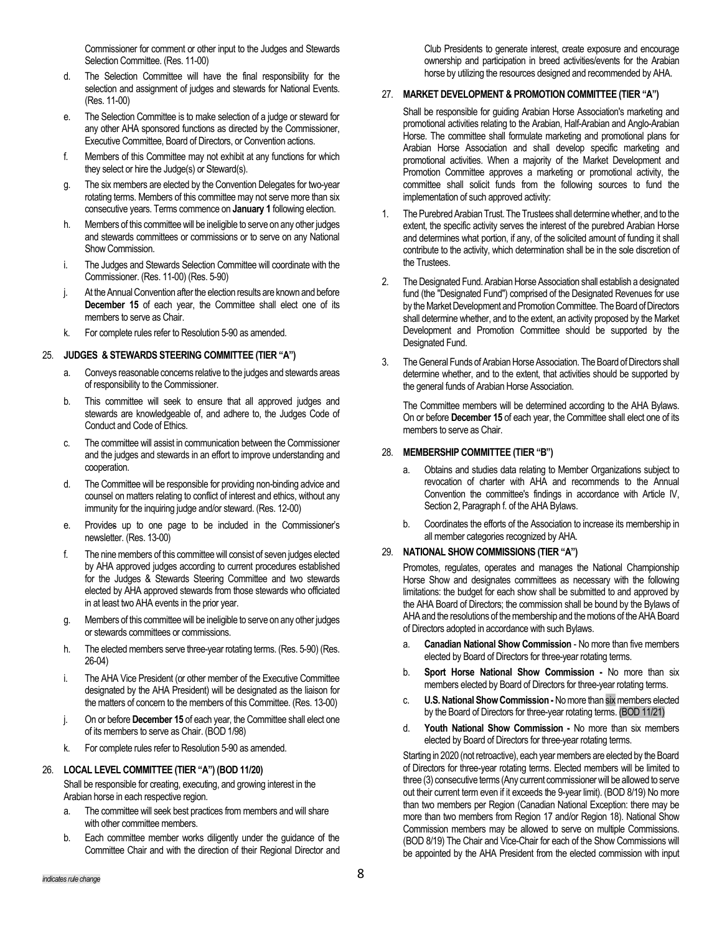Commissioner for comment or other input to the Judges and Stewards Selection Committee. (Res. 11-00)

- d. The Selection Committee will have the final responsibility for the selection and assignment of judges and stewards for National Events. (Res. 11-00)
- e. The Selection Committee is to make selection of a judge or steward for any other AHA sponsored functions as directed by the Commissioner, Executive Committee, Board of Directors, or Convention actions.
- f. Members of this Committee may not exhibit at any functions for which they select or hire the Judge(s) or Steward(s).
- g. The six members are elected by the Convention Delegates for two-year rotating terms. Members of this committee may not serve more than six consecutive years. Terms commence on **January 1** following election.
- h. Members of this committee will be ineligible to serve on any other judges and stewards committees or commissions or to serve on any National Show Commission.
- i. The Judges and Stewards Selection Committee will coordinate with the Commissioner. (Res. 11-00) (Res. 5-90)
- j. At the Annual Convention after the election results are known and before **December 15** of each year, the Committee shall elect one of its members to serve as Chair.
- k. For complete rules refer to Resolution 5-90 as amended.

### 25. **JUDGES & STEWARDS STEERING COMMITTEE (TIER "A")**

- a. Conveys reasonable concerns relative to the judges and stewards areas of responsibility to the Commissioner.
- b. This committee will seek to ensure that all approved judges and stewards are knowledgeable of, and adhere to, the Judges Code of Conduct and Code of Ethics.
- c. The committee will assist in communication between the Commissioner and the judges and stewards in an effort to improve understanding and cooperation.
- d. The Committee will be responsible for providing non-binding advice and counsel on matters relating to conflict of interest and ethics, without any immunity for the inquiring judge and/or steward. (Res. 12-00)
- e. Provides up to one page to be included in the Commissioner's newsletter. (Res. 13-00)
- f. The nine members of this committee will consist of seven judges elected by AHA approved judges according to current procedures established for the Judges & Stewards Steering Committee and two stewards elected by AHA approved stewards from those stewards who officiated in at least two AHA events in the prior year.
- g. Members of this committee will be ineligible to serve on any other judges or stewards committees or commissions.
- h. The elected members serve three-year rotating terms. (Res. 5-90) (Res. 26-04)
- i. The AHA Vice President (or other member of the Executive Committee designated by the AHA President) will be designated as the liaison for the matters of concern to the members of this Committee. (Res. 13-00)
- j. On or before **December 15** of each year, the Committee shall elect one of its members to serve as Chair. (BOD 1/98)
- k. For complete rules refer to Resolution 5-90 as amended.

#### 26. **LOCAL LEVEL COMMITTEE (TIER "A") (BOD 11/20)**

Shall be responsible for creating, executing, and growing interest in the Arabian horse in each respective region.

- a. The committee will seek best practices from members and will share with other committee members.
- b. Each committee member works diligently under the guidance of the Committee Chair and with the direction of their Regional Director and

Club Presidents to generate interest, create exposure and encourage ownership and participation in breed activities/events for the Arabian horse by utilizing the resources designed and recommended by AHA.

#### 27. **MARKET DEVELOPMENT & PROMOTION COMMITTEE (TIER "A")**

Shall be responsible for guiding Arabian Horse Association's marketing and promotional activities relating to the Arabian, Half-Arabian and Anglo-Arabian Horse. The committee shall formulate marketing and promotional plans for Arabian Horse Association and shall develop specific marketing and promotional activities. When a majority of the Market Development and Promotion Committee approves a marketing or promotional activity, the committee shall solicit funds from the following sources to fund the implementation of such approved activity:

- 1. The Purebred Arabian Trust. The Trustees shall determine whether, and to the extent, the specific activity serves the interest of the purebred Arabian Horse and determines what portion, if any, of the solicited amount of funding it shall contribute to the activity, which determination shall be in the sole discretion of the Trustees.
- 2. The Designated Fund. Arabian Horse Association shall establish a designated fund (the "Designated Fund") comprised of the Designated Revenues for use by the Market Development and Promotion Committee. The Board of Directors shall determine whether, and to the extent, an activity proposed by the Market Development and Promotion Committee should be supported by the Designated Fund.
- 3. The General Funds of Arabian Horse Association. The Board of Directors shall determine whether, and to the extent, that activities should be supported by the general funds of Arabian Horse Association.

The Committee members will be determined according to the AHA Bylaws. On or before **December 15** of each year, the Committee shall elect one of its members to serve as Chair.

#### 28. **MEMBERSHIP COMMITTEE (TIER "B")**

- a. Obtains and studies data relating to Member Organizations subject to revocation of charter with AHA and recommends to the Annual Convention the committee's findings in accordance with Article IV, Section 2, Paragraph f. of the AHA Bylaws.
- b. Coordinates the efforts of the Association to increase its membership in all member categories recognized by AHA.

## 29. **NATIONAL SHOW COMMISSIONS (TIER "A")**

Promotes, regulates, operates and manages the National Championship Horse Show and designates committees as necessary with the following limitations: the budget for each show shall be submitted to and approved by the AHA Board of Directors; the commission shall be bound by the Bylaws of AHA and the resolutions of the membership and the motions of the AHA Board of Directors adopted in accordance with such Bylaws.

- a. **Canadian National Show Commission** No more than five members elected by Board of Directors for three-year rotating terms.
- b. **Sport Horse National Show Commission -** No more than six members elected by Board of Directors for three-year rotating terms.
- c. **U.S. National Show Commission -** No more than six members elected by the Board of Directors for three-year rotating terms. (BOD 11/21)
- d. **Youth National Show Commission -** No more than six members elected by Board of Directors for three-year rotating terms.

Starting in 2020 (not retroactive), each year members are elected by the Board of Directors for three-year rotating terms. Elected members will be limited to three (3) consecutive terms (Any current commissioner will be allowed to serve out their current term even if it exceeds the 9-year limit). (BOD 8/19) No more than two members per Region (Canadian National Exception: there may be more than two members from Region 17 and/or Region 18). National Show Commission members may be allowed to serve on multiple Commissions. (BOD 8/19) The Chair and Vice-Chair for each of the Show Commissions will be appointed by the AHA President from the elected commission with input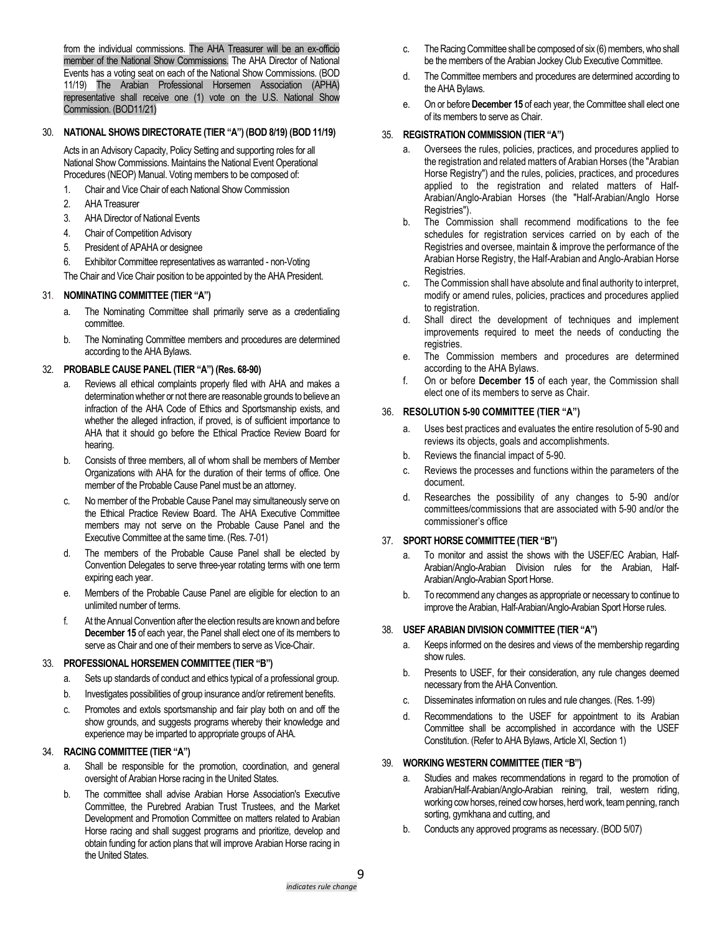from the individual commissions. The AHA Treasurer will be an ex-officio member of the National Show Commissions. The AHA Director of National Events has a voting seat on each of the National Show Commissions. (BOD 11/19) The Arabian Professional Horsemen Association (APHA) representative shall receive one (1) vote on the U.S. National Show Commission. (BOD11/21)

## 30. **NATIONAL SHOWS DIRECTORATE (TIER "A") (BOD 8/19) (BOD 11/19)**

Acts in an Advisory Capacity, Policy Setting and supporting roles for all National Show Commissions. Maintains the National Event Operational Procedures (NEOP) Manual. Voting members to be composed of:

- 1. Chair and Vice Chair of each National Show Commission
- 2. AHA Treasurer
- 3. AHA Director of National Events
- 4. Chair of Competition Advisory
- 5. President of APAHA or designee
- 6. Exhibitor Committee representatives as warranted non-Voting

The Chair and Vice Chair position to be appointed by the AHA President.

## 31. **NOMINATING COMMITTEE (TIER "A")**

- a. The Nominating Committee shall primarily serve as a credentialing committee.
- b. The Nominating Committee members and procedures are determined according to the AHA Bylaws.

## 32. **PROBABLE CAUSE PANEL (TIER "A") (Res. 68-90)**

- a. Reviews all ethical complaints properly filed with AHA and makes a determination whether or not there are reasonable grounds to believe an infraction of the AHA Code of Ethics and Sportsmanship exists, and whether the alleged infraction, if proved, is of sufficient importance to AHA that it should go before the Ethical Practice Review Board for hearing.
- b. Consists of three members, all of whom shall be members of Member Organizations with AHA for the duration of their terms of office. One member of the Probable Cause Panel must be an attorney.
- c. No member of the Probable Cause Panel may simultaneously serve on the Ethical Practice Review Board. The AHA Executive Committee members may not serve on the Probable Cause Panel and the Executive Committee at the same time. (Res. 7-01)
- d. The members of the Probable Cause Panel shall be elected by Convention Delegates to serve three-year rotating terms with one term expiring each year.
- e. Members of the Probable Cause Panel are eligible for election to an unlimited number of terms.
- f. At the Annual Convention after the election results are known and before **December 15** of each year, the Panel shall elect one of its members to serve as Chair and one of their members to serve as Vice-Chair.

### 33. **PROFESSIONAL HORSEMEN COMMITTEE (TIER "B")**

- a. Sets up standards of conduct and ethics typical of a professional group.
- b. Investigates possibilities of group insurance and/or retirement benefits.
- c. Promotes and extols sportsmanship and fair play both on and off the show grounds, and suggests programs whereby their knowledge and experience may be imparted to appropriate groups of AHA.

## 34. **RACING COMMITTEE (TIER "A")**

- a. Shall be responsible for the promotion, coordination, and general oversight of Arabian Horse racing in the United States.
- b. The committee shall advise Arabian Horse Association's Executive Committee, the Purebred Arabian Trust Trustees, and the Market Development and Promotion Committee on matters related to Arabian Horse racing and shall suggest programs and prioritize, develop and obtain funding for action plans that will improve Arabian Horse racing in the United States.
- c. The Racing Committee shall be composed of six (6) members, who shall be the members of the Arabian Jockey Club Executive Committee.
- d. The Committee members and procedures are determined according to the AHA Bylaws.
- e. On or before **December 15** of each year, the Committee shall elect one of its members to serve as Chair.

## 35. **REGISTRATION COMMISSION (TIER "A")**

- a. Oversees the rules, policies, practices, and procedures applied to the registration and related matters of Arabian Horses (the "Arabian Horse Registry") and the rules, policies, practices, and procedures applied to the registration and related matters of Half-Arabian/Anglo-Arabian Horses (the "Half-Arabian/Anglo Horse Registries").
- b. The Commission shall recommend modifications to the fee schedules for registration services carried on by each of the Registries and oversee, maintain & improve the performance of the Arabian Horse Registry, the Half-Arabian and Anglo-Arabian Horse Registries.
- c. The Commission shall have absolute and final authority to interpret, modify or amend rules, policies, practices and procedures applied to registration.
- d. Shall direct the development of techniques and implement improvements required to meet the needs of conducting the registries.
- e. The Commission members and procedures are determined according to the AHA Bylaws.
- f. On or before **December 15** of each year, the Commission shall elect one of its members to serve as Chair.

## 36. **RESOLUTION 5-90 COMMITTEE (TIER "A")**

- a. Uses best practices and evaluates the entire resolution of 5-90 and reviews its objects, goals and accomplishments.
- b. Reviews the financial impact of 5-90.
- c. Reviews the processes and functions within the parameters of the document.
- d. Researches the possibility of any changes to 5-90 and/or committees/commissions that are associated with 5-90 and/or the commissioner's office

### 37. **SPORT HORSE COMMITTEE (TIER "B")**

- a. To monitor and assist the shows with the USEF/EC Arabian, Half-Arabian/Anglo-Arabian Division rules for the Arabian, Half-Arabian/Anglo-Arabian Sport Horse.
- b. To recommend any changes as appropriate or necessary to continue to improve the Arabian, Half-Arabian/Anglo-Arabian Sport Horse rules.

### 38. **USEF ARABIAN DIVISION COMMITTEE (TIER "A")**

- a. Keeps informed on the desires and views of the membership regarding show rules.
- b. Presents to USEF, for their consideration, any rule changes deemed necessary from the AHA Convention.
- c. Disseminates information on rules and rule changes. (Res. 1-99)
- d. Recommendations to the USEF for appointment to its Arabian Committee shall be accomplished in accordance with the USEF Constitution. (Refer to AHA Bylaws, Article XI, Section 1)

### 39. **WORKING WESTERN COMMITTEE (TIER "B")**

- a. Studies and makes recommendations in regard to the promotion of Arabian/Half-Arabian/Anglo-Arabian reining, trail, western riding, working cow horses, reined cow horses, herd work, team penning, ranch sorting, gymkhana and cutting, and
- b. Conducts any approved programs as necessary. (BOD 5/07)